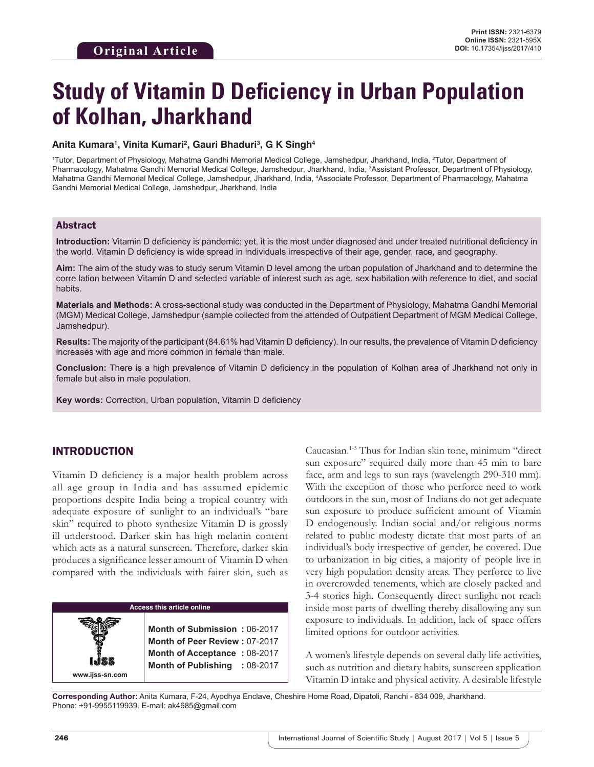# **Study of Vitamin D Deficiency in Urban Population of Kolhan, Jharkhand**

#### Anita Kumara<sup>ı</sup>, Vinita Kumari<sup>2</sup>, Gauri Bhaduri<sup>3</sup>, G K Singh<sup>4</sup>

1 Tutor, Department of Physiology, Mahatma Gandhi Memorial Medical College, Jamshedpur, Jharkhand, India, 2 Tutor, Department of Pharmacology, Mahatma Gandhi Memorial Medical College, Jamshedpur, Jharkhand, India, <sup>3</sup>Assistant Professor, Department of Physiology, Mahatma Gandhi Memorial Medical College, Jamshedpur, Jharkhand, India, 4 Associate Professor, Department of Pharmacology, Mahatma Gandhi Memorial Medical College, Jamshedpur, Jharkhand, India

#### Abstract

**Introduction:** Vitamin D deficiency is pandemic; yet, it is the most under diagnosed and under treated nutritional deficiency in the world. Vitamin D deficiency is wide spread in individuals irrespective of their age, gender, race, and geography.

**Aim:** The aim of the study was to study serum Vitamin D level among the urban population of Jharkhand and to determine the corre lation between Vitamin D and selected variable of interest such as age, sex habitation with reference to diet, and social habits.

**Materials and Methods:** A cross-sectional study was conducted in the Department of Physiology, Mahatma Gandhi Memorial (MGM) Medical College, Jamshedpur (sample collected from the attended of Outpatient Department of MGM Medical College, Jamshedpur).

**Results:** The majority of the participant (84.61% had Vitamin D deficiency). In our results, the prevalence of Vitamin D deficiency increases with age and more common in female than male.

**Conclusion:** There is a high prevalence of Vitamin D deficiency in the population of Kolhan area of Jharkhand not only in female but also in male population.

**Key words:** Correction, Urban population, Vitamin D deficiency

## INTRODUCTION

Vitamin D deficiency is a major health problem across all age group in India and has assumed epidemic proportions despite India being a tropical country with adequate exposure of sunlight to an individual's "bare skin" required to photo synthesize Vitamin D is grossly ill understood. Darker skin has high melanin content which acts as a natural sunscreen. Therefore, darker skin produces a significance lesser amount of Vitamin D when compared with the individuals with fairer skin, such as

|                 | <b>Access this article online</b>    |
|-----------------|--------------------------------------|
|                 |                                      |
|                 | Month of Submission: 06-2017         |
|                 | <b>Month of Peer Review: 07-2017</b> |
|                 | Month of Acceptance: 08-2017         |
|                 | Month of Publishing : 08-2017        |
| www.ijss-sn.com |                                      |

Caucasian.1-3 Thus for Indian skin tone, minimum "direct sun exposure" required daily more than 45 min to bare face, arm and legs to sun rays (wavelength 290-310 mm). With the exception of those who perforce need to work outdoors in the sun, most of Indians do not get adequate sun exposure to produce sufficient amount of Vitamin D endogenously. Indian social and/or religious norms related to public modesty dictate that most parts of an individual's body irrespective of gender, be covered. Due to urbanization in big cities, a majority of people live in very high population density areas. They perforce to live in overcrowded tenements, which are closely packed and 3-4 stories high. Consequently direct sunlight not reach inside most parts of dwelling thereby disallowing any sun exposure to individuals. In addition, lack of space offers limited options for outdoor activities.

A women's lifestyle depends on several daily life activities, such as nutrition and dietary habits, sunscreen application Vitamin D intake and physical activity. A desirable lifestyle

**Corresponding Author:** Anita Kumara, F-24, Ayodhya Enclave, Cheshire Home Road, Dipatoli, Ranchi - 834 009, Jharkhand. Phone: +91-9955119939. E-mail: ak4685@gmail.com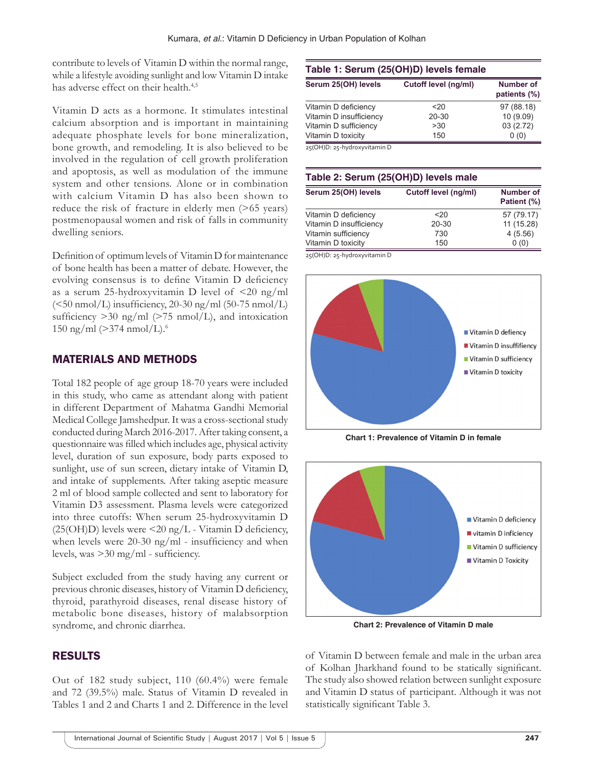contribute to levels of Vitamin D within the normal range, while a lifestyle avoiding sunlight and low Vitamin D intake has adverse effect on their health.<sup>4,5</sup>

Vitamin D acts as a hormone. It stimulates intestinal calcium absorption and is important in maintaining adequate phosphate levels for bone mineralization, bone growth, and remodeling. It is also believed to be involved in the regulation of cell growth proliferation and apoptosis, as well as modulation of the immune system and other tensions. Alone or in combination with calcium Vitamin D has also been shown to reduce the risk of fracture in elderly men (>65 years) postmenopausal women and risk of falls in community dwelling seniors.

Definition of optimum levels of Vitamin D for maintenance of bone health has been a matter of debate. However, the evolving consensus is to define Vitamin D deficiency as a serum 25-hydroxyvitamin D level of <20 ng/ml  $(<50 \text{ nmol/L})$  insufficiency, 20-30 ng/ml (50-75 nmol/L) sufficiency  $>$ 30 ng/ml ( $>$ 75 nmol/L), and intoxication 150 ng/ml ( $>374$  nmol/L).<sup>6</sup>

## MATERIALS AND METHODS

Total 182 people of age group 18-70 years were included in this study, who came as attendant along with patient in different Department of Mahatma Gandhi Memorial Medical College Jamshedpur. It was a cross-sectional study conducted during March 2016-2017. After taking consent, a questionnaire was filled which includes age, physical activity level, duration of sun exposure, body parts exposed to sunlight, use of sun screen, dietary intake of Vitamin D, and intake of supplements. After taking aseptic measure 2 ml of blood sample collected and sent to laboratory for Vitamin D3 assessment. Plasma levels were categorized into three cutoffs: When serum 25-hydroxyvitamin D  $(25(OH)D)$  levels were <20 ng/L - Vitamin D deficiency, when levels were 20-30 ng/ml - insufficiency and when levels, was >30 mg/ml - sufficiency.

Subject excluded from the study having any current or previous chronic diseases, history of Vitamin D deficiency, thyroid, parathyroid diseases, renal disease history of metabolic bone diseases, history of malabsorption syndrome, and chronic diarrhea.

## RESULTS

Out of 182 study subject, 110 (60.4%) were female and 72 (39.5%) male. Status of Vitamin D revealed in Tables 1 and 2 and Charts 1 and 2. Difference in the level

# **Table 1: Serum (25(OH)D) levels female**

| Cutoff level (ng/ml) | <b>Number of</b><br>patients (%) |
|----------------------|----------------------------------|
| $20$                 | 97 (88.18)                       |
| 20-30                | 10(9.09)                         |
| >30                  | 03(2.72)                         |
| 150                  | 0(0)                             |
|                      |                                  |

25(OH)D: 25‑hydroxyvitamin D

#### **Table 2: Serum (25(OH)D) levels male**

| Serum 25(OH) levels     | Cutoff level (ng/ml) | <b>Number of</b><br>Patient (%) |
|-------------------------|----------------------|---------------------------------|
| Vitamin D deficiency    | 20 <sub>20</sub>     | 57 (79.17)                      |
| Vitamin D insufficiency | 20-30                | 11 (15.28)                      |
| Vitamin sufficiency     | 730                  | 4(5.56)                         |
| Vitamin D toxicity      | 150                  | 0(0)                            |

25(OH)D: 25‑hydroxyvitamin D



**Chart 1: Prevalence of Vitamin D in female**



**Chart 2: Prevalence of Vitamin D male**

of Vitamin D between female and male in the urban area of Kolhan Jharkhand found to be statically significant. The study also showed relation between sunlight exposure and Vitamin D status of participant. Although it was not statistically significant Table 3.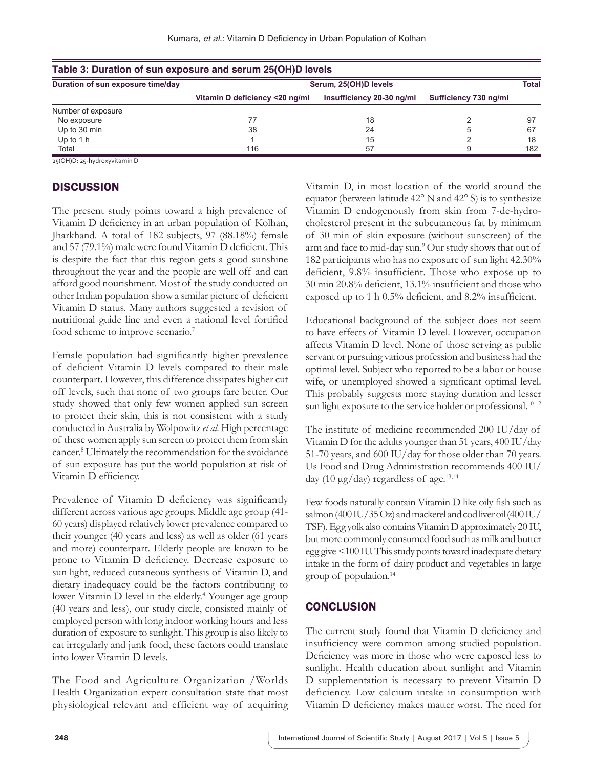| Table 3: Duration of sun exposure and serum 25(OH)D levels |                                |                           |                       |       |
|------------------------------------------------------------|--------------------------------|---------------------------|-----------------------|-------|
| Duration of sun exposure time/day                          | Serum, 25(OH)D levels          |                           |                       | Total |
|                                                            | Vitamin D deficiency <20 ng/ml | Insufficiency 20-30 ng/ml | Sufficiency 730 ng/ml |       |
| Number of exposure                                         |                                |                           |                       |       |
| No exposure                                                |                                | 18                        |                       | 97    |
| Up to 30 min                                               | 38                             | 24                        |                       | 67    |
| Up to $1h$                                                 |                                | 15                        |                       | 18    |
| Total                                                      | 116                            | 57                        |                       | 182   |

|--|

25(OH)D: 25‑hydroxyvitamin D

# **DISCUSSION**

The present study points toward a high prevalence of Vitamin D deficiency in an urban population of Kolhan, Jharkhand. A total of 182 subjects, 97 (88.18%) female and 57 (79.1%) male were found Vitamin D deficient. This is despite the fact that this region gets a good sunshine throughout the year and the people are well off and can afford good nourishment. Most of the study conducted on other Indian population show a similar picture of deficient Vitamin D status. Many authors suggested a revision of nutritional guide line and even a national level fortified food scheme to improve scenario.<sup>7</sup>

Female population had significantly higher prevalence of deficient Vitamin D levels compared to their male counterpart. However, this difference dissipates higher cut off levels, such that none of two groups fare better. Our study showed that only few women applied sun screen to protect their skin, this is not consistent with a study conducted in Australia by Wolpowitz *et al.* High percentage of these women apply sun screen to protect them from skin cancer.8 Ultimately the recommendation for the avoidance of sun exposure has put the world population at risk of Vitamin D efficiency.

Prevalence of Vitamin D deficiency was significantly different across various age groups. Middle age group (41- 60 years) displayed relatively lower prevalence compared to their younger (40 years and less) as well as older (61 years and more) counterpart. Elderly people are known to be prone to Vitamin D deficiency. Decrease exposure to sun light, reduced cutaneous synthesis of Vitamin D, and dietary inadequacy could be the factors contributing to lower Vitamin D level in the elderly.<sup>4</sup> Younger age group (40 years and less), our study circle, consisted mainly of employed person with long indoor working hours and less duration of exposure to sunlight. This group is also likely to eat irregularly and junk food, these factors could translate into lower Vitamin D levels.

The Food and Agriculture Organization /Worlds Health Organization expert consultation state that most physiological relevant and efficient way of acquiring Vitamin D, in most location of the world around the equator (between latitude 42° N and 42° S) is to synthesize Vitamin D endogenously from skin from 7-de-hydrocholesterol present in the subcutaneous fat by minimum of 30 min of skin exposure (without sunscreen) of the arm and face to mid-day sun.<sup>9</sup> Our study shows that out of 182 participants who has no exposure of sun light 42.30% deficient, 9.8% insufficient. Those who expose up to 30 min 20.8% deficient, 13.1% insufficient and those who exposed up to 1 h 0.5% deficient, and 8.2% insufficient.

Educational background of the subject does not seem to have effects of Vitamin D level. However, occupation affects Vitamin D level. None of those serving as public servant or pursuing various profession and business had the optimal level. Subject who reported to be a labor or house wife, or unemployed showed a significant optimal level. This probably suggests more staying duration and lesser sun light exposure to the service holder or professional.<sup>10-12</sup>

The institute of medicine recommended 200 IU/day of Vitamin D for the adults younger than 51 years, 400 IU/day 51-70 years, and 600 IU/day for those older than 70 years. Us Food and Drug Administration recommends 400 IU/ day (10  $\mu$ g/day) regardless of age.<sup>13,14</sup>

Few foods naturally contain Vitamin D like oily fish such as salmon (400 IU/35 Oz) and mackerel and cod liver oil (400 IU/ TSF). Egg yolk also contains Vitamin D approximately 20 IU, but more commonly consumed food such as milk and butter egg give <100 IU. This study points toward inadequate dietary intake in the form of dairy product and vegetables in large group of population.14

# **CONCLUSION**

The current study found that Vitamin D deficiency and insufficiency were common among studied population. Deficiency was more in those who were exposed less to sunlight. Health education about sunlight and Vitamin D supplementation is necessary to prevent Vitamin D deficiency. Low calcium intake in consumption with Vitamin D deficiency makes matter worst. The need for